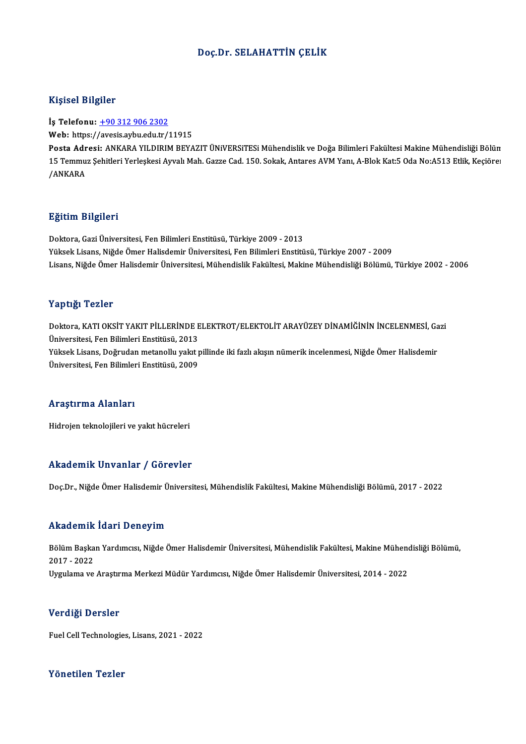#### Doç.Dr. SELAHATTİN ÇELİK

#### Kişisel Bilgiler

İş Telefonu: +90 312 906 2302

Web: https:/[/avesis.aybu.edu.tr/](tel:+90 312 906 2302)11915

İş Telefonu: <u>+90 312 906 2302</u><br>Web: https://avesis.aybu.edu.tr/11915<br>Posta Adresi: ANKARA YILDIRIM BEYAZIT ÜNiVERSiTESi Mühendislik ve Doğa Bilimleri Fakültesi Makine Mühendisliği Bölün Web: https://avesis.aybu.edu.tr/11915<br>Posta Adresi: ANKARA YILDIRIM BEYAZIT ÜNiVERSiTESi Mühendislik ve Doğa Bilimleri Fakültesi Makine Mühendisliği Bölün<br>15 Temmuz Şehitleri Yerleşkesi Ayvalı Mah. Gazze Cad. 150. Sokak, A <mark>Posta Adr</mark><br>15 Temmu:<br>/ANKARA

#### Eğitim Bilgileri

Doktora, Gazi Üniversitesi, Fen Bilimleri Enstitüsü, Türkiye 2009 - 2013 YüksekLisans,NiğdeÖmerHalisdemirÜniversitesi,FenBilimleriEnstitüsü,Türkiye 2007 -2009 Lisans, Niğde Ömer Halisdemir Üniversitesi, Mühendislik Fakültesi, Makine Mühendisliği Bölümü, Türkiye 2002 - 2006

#### Yaptığı Tezler

Yaptığı Tezler<br>Doktora, KATI OKSİT YAKIT PİLLERİNDE ELEKTROT/ELEKTOLİT ARAYÜZEY DİNAMİĞİNİN İNCELENMESİ, Gazi<br>Üniversitesi Een Bilimleri Enstitüsü, 2013 Tüp ergi<br>Doktora, KATI OKSİT YAKIT PİLLERİNDE E<br>Üniversitesi, Fen Bilimleri Enstitüsü, 2013<br>Yüksek Lisans, Doğuudan matanellu yakıtı Doktora, KATI OKSİT YAKIT PİLLERİNDE ELEKTROT/ELEKTOLİT ARAYÜZEY DİNAMİĞİNİN İNCELENMESİ, Ga<br>Üniversitesi, Fen Bilimleri Enstitüsü, 2013<br>Yüksek Lisans, Doğrudan metanollu yakıt pillinde iki fazlı akışın nümerik incelenmesi Üniversitesi, Fen Bilimleri Enstitüsü, 2013<br>Yüksek Lisans, Doğrudan metanollu yakıt pillinde iki fazlı akışın nümerik incelenmesi, Niğde Ömer Halisdemir<br>Üniversitesi, Fen Bilimleri Enstitüsü, 2009

#### Araştırma Alanları

Hidrojen teknolojileri ve yakıt hücreleri

#### Akademik Unvanlar / Görevler

Doç.Dr., Niğde Ömer Halisdemir Üniversitesi, Mühendislik Fakültesi, Makine Mühendisliği Bölümü, 2017 - 2022

#### Akademik İdari Deneyim

**Akademik İdari Deneyim**<br>Bölüm Başkan Yardımcısı, Niğde Ömer Halisdemir Üniversitesi, Mühendislik Fakültesi, Makine Mühendisliği Bölümü,<br>2017–2022 2017 -2022 2017 - 2022<br>Uygulama ve Araştırma Merkezi Müdür Yardımcısı, Niğde Ömer Halisdemir Üniversitesi, 2014 - 2022

#### Verdiği Dersler

Fuel Cell Technologies, Lisans, 2021 - 2022

### Yönetilen Tezler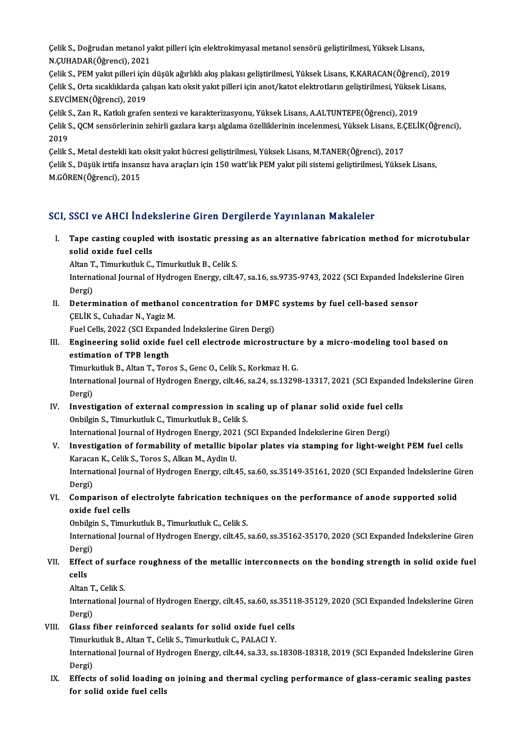Çelik S., Doğrudan metanol yakıt pilleri için elektrokimyasal metanol sensörü geliştirilmesi, Yüksek Lisans,<br>N.GUHADAR(Öğrensi), 2021 Çelik S., Doğrudan metanol ya<br>N.ÇUHADAR(Öğrenci), 2021<br>Celik S., PEM valut pillori isin Çelik S., Doğrudan metanol yakıt pilleri için elektrokimyasal metanol sensörü geliştirilmesi, Yüksek Lisans,<br>N.ÇUHADAR(Öğrenci), 2021<br>Çelik S., PEM yakıt pilleri için düşük ağırlıklı akış plakası geliştirilmesi, Yüksek Lis

N.ÇUHADAR(Öğrenci), 2021<br>Çelik S., PEM yakıt pilleri için düşük ağırlıklı akış plakası geliştirilmesi, Yüksek Lisans, K.KARACAN(Öğrenci), 2019<br>Çelik S., Orta sıcaklıklarda çalışan katı oksit yakıt pilleri için anot/katot e Çelik S., PEM yakıt pilleri için<br>Çelik S., Orta sıcaklıklarda ça<br>S.EVCİMEN(Öğrenci), 2019<br>Celik S. Zan B., Katlalı grafot Çelik S., Orta sıcaklıklarda çalışan katı oksit yakıt pilleri için anot/katot elektrotların geliştirilmesi, Yüksek<br>S.EVCİMEN(Öğrenci), 2019<br>Çelik S., Zan R., Katkılı grafen sentezi ve karakterizasyonu, Yüksek Lisans, A.ALT

S.EVCİMEN(Öğrenci), 2019<br>Çelik S., Zan R., Katkılı grafen sentezi ve karakterizasyonu, Yüksek Lisans, A.ALTUNTEPE(Öğrenci), 2019<br>Çelik S., QCM sensörlerinin zehirli gazlara karşı algılama özelliklerinin incelenmesi, Yüksek Celik S<br>Celik S<br>2019<br>Celik S Çelik S., QCM sensörlerinin zehirli gazlara karşı algılama özelliklerinin incelenmesi, Yüksek Lisans, E.Ç<br>2019<br>Çelik S., Metal destekli katı oksit yakıt hücresi geliştirilmesi, Yüksek Lisans, M.TANER(Öğrenci), 2017<br>Celik S

2019<br>Çelik S., Metal destekli katı oksit yakıt hücresi geliştirilmesi, Yüksek Lisans, M.TANER(Öğrenci), 2017<br>Çelik S., Düşük irtifa insansız hava araçları için 150 watt'lık PEM yakıt pili sistemi geliştirilmesi, Yüksek Lis Çelik S., Metal destekli katı<br>Çelik S., Düşük irtifa insans<br>M.GÖREN(Öğrenci), 2015

# M.GÖREN(Öğrenci), 2015<br>SCI, SSCI ve AHCI İndekslerine Giren Dergilerde Yayınlanan Makaleler

CI, SSCI ve AHCI İndekslerine Giren Dergilerde Yayınlanan Makaleler<br>I. Tape casting coupled with isostatic pressing as an alternative fabrication method for microtubular<br>Relid exide fuel sells soon ve mind made<br>Tape casting coupled<br>solid oxide fuel cells<br>Altan T. Timurkuluk C Tape casting coupled with isostatic pressi<br>solid oxide fuel cells<br>Altan T., Timurkutluk C., Timurkutluk B., Celik S.<br>International Journal of Hydnosen Energy silt 4

Altan T., Timurkutluk C., Timurkutluk B., Celik S.

solid oxide fuel cells<br>Altan T., Timurkutluk C., Timurkutluk B., Celik S.<br>International Journal of Hydrogen Energy, cilt.47, sa.16, ss.9735-9743, 2022 (SCI Expanded İndekslerine Giren<br>Dergi) International Journal of Hydrogen Energy, cilt.47, sa.16, ss.9735-9743, 2022 (SCI Expanded Indeks<br>Dergi)<br>II. Determination of methanol concentration for DMFC systems by fuel cell-based sensor<br>CELIV S. Cubadar N. Vagiz M.

Dergi)<br>Determination of methano<br>ÇELİK S., Cuhadar N., Yagiz M.<br>Fuel Cells 2022 (SCL Evnande **Determination of methanol concentration for DMF(<br>CELIK S., Cuhadar N., Yagiz M.<br>Fuel Cells, 2022 (SCI Expanded İndekslerine Giren Dergi)**<br>Fusineering solid, evide fuel soll electrode mispostr

CELIK S., Cuhadar N., Yagiz M.<br>II. Engineering solid oxide fuel cell electrode microstructure by a micro-modeling tool based on<br>estimation of TBB length Fuel Cells, 2022 (SCI Expand<br>Engineering solid oxide f<br>estimation of TPB length<br>Timurkuluk B. Alton T. Tors Engineering solid oxide fuel cell electrode microstructur<br>estimation of TPB length<br>Timurkutluk B., Altan T., Toros S., Genc O., Celik S., Korkmaz H. G.<br>International Journal of Hydrogen Energy, cilt 46, so 24, ss 12209

estimation of TPB length<br>Timurkutluk B., Altan T., Toros S., Genc O., Celik S., Korkmaz H. G.<br>International Journal of Hydrogen Energy, cilt.46, sa.24, ss.13298-13317, 2021 (SCI Expanded İndekslerine Giren Timurk<br>Interna<br>Dergi)<br>Invest International Journal of Hydrogen Energy, cilt.46, sa.24, ss.13298-13317, 2021 (SCI Expanded<br>Dergi)<br>IV. Investigation of external compression in scaling up of planar solid oxide fuel cells<br>Orbilgin S. Timurkuluk G. Timurku

Dergi)<br>Investigation of external compression in sca<br>Onbilgin S., Timurkutluk C., Timurkutluk B., Celik S. IV. Investigation of external compression in scaling up of planar solid oxide fuel cells

International Journal of Hydrogen Energy, 2021 (SCI Expanded Indekslerine Giren Dergi)

- V. Investigation of formability of metallic bipolar plates via stamping for light-weight PEM fuel cells<br>Karacan K., Celik S., Toros S., Alkan M., Aydin U. Investigation of formability of metallic bipolar plates via stamping for light-weight PEM fuel cells<br>Karacan K., Celik S., Toros S., Alkan M., Aydin U.<br>International Journal of Hydrogen Energy, cilt.45, sa.60, ss.35149-351 Karaca<br>Interna<br>Dergi)<br>Compa International Journal of Hydrogen Energy, cilt.45, sa.60, ss.35149-35161, 2020 (SCI Expanded Indekslerine G<br>Dergi)<br>VI. Comparison of electrolyte fabrication techniques on the performance of anode supported solid<br>avide fuel
- Dergi)<br>Comparison of<br>oxide fuel cells<br>Opbilgin S. Timur Comparison of electrolyte fabrication techni<br>Oxide fuel cells<br>Onbilgin S., Timurkutluk B., Timurkutluk C., Celik S.<br>International Journal of Hydrogen Energy, cilt 45

oxide fuel cells<br>Onbilgin S., Timurkutluk B., Timurkutluk C., Celik S.<br>International Journal of Hydrogen Energy, cilt.45, sa.60, ss.35162-35170, 2020 (SCI Expanded İndekslerine Giren Onbilgi<br>Interna<br>Dergi)<br>Effect International Journal of Hydrogen Energy, cilt.45, sa.60, ss.35162-35170, 2020 (SCI Expanded Indekslerine Giren<br>Dergi)<br>VII. Effect of surface roughness of the metallic interconnects on the bonding strength in solid oxide f

## Dergi<br><mark>Effec</mark><br>cells Effect of surfa<br>cells<br>Altan T., Celik S.<br>International Io

cells<br>Altan T., Celik S.<br>International Journal of Hydrogen Energy, cilt.45, sa.60, ss.35118-35129, 2020 (SCI Expanded İndekslerine Giren Altan T<br>Interna<br>Dergi)<br>Cless t International Journal of Hydrogen Energy, cilt.45, sa.60, ss.3511<br>Dergi)<br>VIII. Glass fiber reinforced sealants for solid oxide fuel cells<br>Timurkuluk B. Altan T. Celik S. Timurkuluk G. BALACLY Dergi)<br>Glass fiber reinforced sealants for solid oxide fuel<br>Timurkutluk B., Altan T., Celik S., Timurkutluk C., PALACI Y.<br>International Journal of Hydrogen Energy, ellt 44, co 33, co

Glass fiber reinforced sealants for solid oxide fuel cells<br>Timurkutluk B., Altan T., Celik S., Timurkutluk C., PALACI Y.<br>International Journal of Hydrogen Energy, cilt.44, sa.33, ss.18308-18318, 2019 (SCI Expanded İndeksle Timurk<br>Interna<br>Dergi)<br>Effecte International Journal of Hydrogen Energy, cilt.44, sa.33, ss.18308-18318, 2019 (SCI Expanded Indekslerine Giren<br>Dergi)<br>IX. Effects of solid loading on joining and thermal cycling performance of glass-ceramic sealing pastes

Dergi)<br>IX. Effects of solid loading on joining and thermal cycling performance of glass-ceramic sealing pastes<br>for solid oxide fuel cells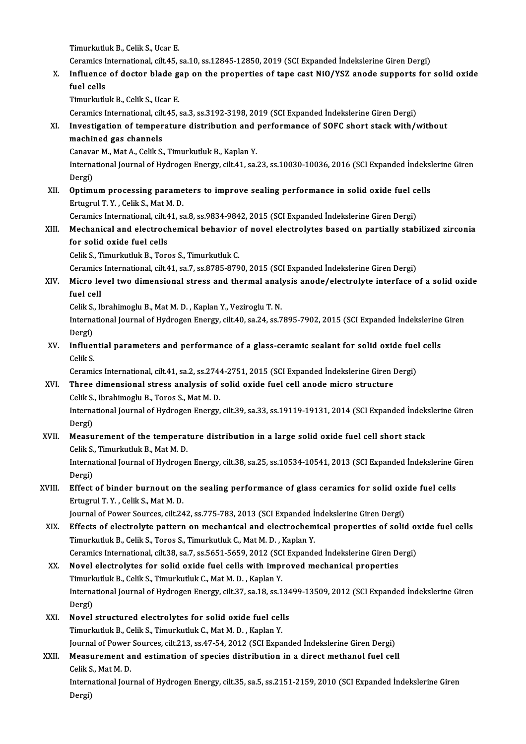TimurkutlukB.,CelikS.,Ucar E.

Timurkutluk B., Celik S., Ucar E.<br>Ceramics International, cilt.45, sa.10, ss.12845-12850, 2019 (SCI Expanded İndekslerine Giren Dergi)<br>Influence of destar blade san en the preperties of tape sest NiO/YSZ apede supperts for

X. Influence of doctor blade gap on the properties of tape cast NiO/YSZ anode supports for solid oxide Ceramics I<br>I<mark>nfluence</mark><br>fuel cells<br>Timurlath

Timurkutluk B., Celik S., Ucar E.

Ceramics International, cilt.45, sa.3, ss.3192-3198,2019 (SCIExpanded İndekslerineGirenDergi)

## Timurkutluk B., Celik S., Ucar E.<br>Ceramics International, cilt.45, sa.3, ss.3192-3198, 2019 (SCI Expanded İndekslerine Giren Dergi)<br>XI. Investigation of temperature distribution and performance of SOFC short stack with/wit Ceramics International, cilt<br>Investigation of temper<br>machined gas channels<br>Canavar M. Mat A. Colik S. Investigation of temperature distribution and<br>machined gas channels<br>Canavar M., Mat A., Celik S., Timurkutluk B., Kaplan Y.<br>International Journal of Hydrogen Energy, cilt 44, co.

machined gas channels<br>Canavar M., Mat A., Celik S., Timurkutluk B., Kaplan Y.<br>International Journal of Hydrogen Energy, cilt.41, sa.23, ss.10030-10036, 2016 (SCI Expanded İndekslerine Giren Canava<br>Interna<br>Dergi)<br>Ontimu International Journal of Hydrogen Energy, cilt.41, sa.23, ss.10030-10036, 2016 (SCI Expanded Indeksl<br>Dergi)<br>XII. Optimum processing parameters to improve sealing performance in solid oxide fuel cells<br>Fiture of Telli S. Met

Dergi)<br>XII. Optimum processing parameters to improve sealing performance in solid oxide fuel cells<br>Ertugrul T. Y. , Celik S., Mat M. D. Optimum processing parameters to improve sealing performance in solid oxide fuel container of the container of the container of the correct extendio of the correct container of the correct container of the correct containe

## Ertugrul T. Y. , Celik S., Mat M. D.<br>Ceramics International, cilt.41, sa.8, ss.9834-9842, 2015 (SCI Expanded Indekslerine Giren Dergi)<br>XIII. Mechanical and electrochemical behavior of novel electrolytes based on partially Ceramics International, cilt.4<br>Mechanical and electrock<br>for solid oxide fuel cells<br>Celik S. Timurkuluk P. Tore Mechanical and electrochemical behavior<br>for solid oxide fuel cells<br>Celik S., Timurkutluk B., Toros S., Timurkutluk C.<br>Coromics International silt 41, 22, 23, 22, 27, 22, 27, 22 for solid oxide fuel cells<br>Celik S., Timurkutluk B., Toros S., Timurkutluk C.<br>Ceramics International, cilt.41, sa.7, ss.8785-8790, 2015 (SCI Expanded İndekslerine Giren Dergi)

## Celik S., Timurkutluk B., Toros S., Timurkutluk C.<br>Ceramics International, cilt.41, sa.7, ss.8785-8790, 2015 (SCI Expanded Indekslerine Giren Dergi)<br>XIV. Micro level two dimensional stress and thermal analysis anode/electr Ceramic<mark>:</mark><br>Micro le<br>fuel cell<br><sup>Colib</sup> S Micro level two dimensional stress and thermal analy<br>fuel cell<br>Celik S., Ibrahimoglu B., Mat M. D. , Kaplan Y., Veziroglu T. N.<br>International Journal of Hydrogen Energy silt 40, sa 24, ss 7

Celik S., Ibrahimoglu B., Mat M. D., Kaplan Y., Veziroglu T. N.

fuel cell<br>Celik S., Ibrahimoglu B., Mat M. D. , Kaplan Y., Veziroglu T. N.<br>International Journal of Hydrogen Energy, cilt.40, sa.24, ss.7895-7902, 2015 (SCI Expanded İndekslerine Giren<br>Dergi) International Journal of Hydrogen Energy, cilt.40, sa.24, ss.7895-7902, 2015 (SCI Expanded Indekslerine<br>Dergi)<br>XV. Influential parameters and performance of a glass-ceramic sealant for solid oxide fuel cells<br>Celik S

Dergi)<br>I<mark>nfluer</mark><br>Celik S.<br>Ceremi Influential parameters and performance of a glass-ceramic sealant for solid oxide fuel<br>Celik S.<br>Ceramics International, cilt.41, sa.2, ss.2744-2751, 2015 (SCI Expanded İndekslerine Giren Dergi)<br>Three dimensional stress ana

Ceramics International, cilt.41, sa.2, ss.2744-2751, 2015 (SCI Expanded Indekslerine Giren Dergi)

## Celik S.<br>Ceramics International, cilt.41, sa.2, ss.2744-2751, 2015 (SCI Expanded Indekslerine Giren 1<br>XVI. Three dimensional stress analysis of solid oxide fuel cell anode micro structure<br>Celik S., Ibrahimoglu B., Toros S. Three dimensional stress analysis of solid oxide fuel cell anode micro structure<br>Celik S., Ibrahimoglu B., Toros S., Mat M. D.<br>International Journal of Hydrogen Energy, cilt.39, sa.33, ss.19119-19131, 2014 (SCI Expanded İn

Celik S.<br>Interna<br>Dergi)<br>Moogu International Journal of Hydrogen Energy, cilt.39, sa.33, ss.19119-19131, 2014 (SCI Expanded Indek<br>Dergi)<br>XVII. Measurement of the temperature distribution in a large solid oxide fuel cell short stack<br>Celik S. Timurluthuk

## Dergi)<br>Measurement of the temperature distribution in a large solid oxide fuel cell short stack<br>Celik S., Timurkutluk B., Mat M. D. Measurement of the temperature distribution in a large solid oxide fuel cell short stack<br>Celik S., Timurkutluk B., Mat M. D.<br>International Journal of Hydrogen Energy, cilt.38, sa.25, ss.10534-10541, 2013 (SCI Expanded İnde

Celik S.<br>Interna<br>Dergi)<br>Effect International Journal of Hydrogen Energy, cilt.38, sa.25, ss.10534-10541, 2013 (SCI Expanded Indekslerine G<br>Dergi)<br>XVIII. Effect of binder burnout on the sealing performance of glass ceramics for solid oxide fuel cells<br>Ent

## Dergi)<br><mark>Effect of binder burnout on</mark><br>Ertugrul T. Y. , Celik S., Mat M. D.<br>Journal of Bouer Sources, silt 24 Effect of binder burnout on the sealing performance of glass ceramics for solid oxi<br>Ertugrul T. Y. , Celik S., Mat M. D.<br>Journal of Power Sources, cilt.242, ss.775-783, 2013 (SCI Expanded Indekslerine Giren Dergi)<br>Effects

## Ertugrul T. Y. , Celik S., Mat M. D.<br>Journal of Power Sources, cilt.242, ss.775-783, 2013 (SCI Expanded Indekslerine Giren Dergi)<br>XIX. Effects of electrolyte pattern on mechanical and electrochemical properties of solid ox Journal of Power Sources, cilt.242, ss.775-783, 2013 (SCI Expanded Indekslerine Giren Dergi)<br>Effects of electrolyte pattern on mechanical and electrochemical properties of solid o<br>Timurkutluk B., Celik S., Toros S., Timurk Effects of electrolyte pattern on mechanical and electrochemical properties of solid or<br>Timurkutluk B., Celik S., Toros S., Timurkutluk C., Mat M. D. , Kaplan Y.<br>Ceramics International, cilt.38, sa.7, ss.5651-5659, 2012 (S

XX. Novel electrolytes for solid oxide fuel cells with improved mechanical properties Timurkutluk B., Celik S., Timurkutluk C., Mat M. D., Kaplan Y. Novel electrolytes for solid oxide fuel cells with improved mechanical properties<br>Timurkutluk B., Celik S., Timurkutluk C., Mat M. D. , Kaplan Y.<br>International Journal of Hydrogen Energy, cilt.37, sa.18, ss.13499-13509, 20 Timurk<br>Interna<br>Dergi)<br>Novol International Journal of Hydrogen Energy, cilt.37, sa.18, ss.134<br>Dergi)<br>XXI. Novel structured electrolytes for solid oxide fuel cells<br>Timurkuluk B. Colik S. Timurkuluk C. Mat M. D. Kanlan V.

## Dergi)<br>Novel structured electrolytes for solid oxide fuel cells<br>Timurkutluk B., Celik S., Timurkutluk C., Mat M. D. , Kaplan Y. Journal of Power Sources, cilt.213, ss.47-54, 2012 (SCI Expanded Indekslerine Giren Dergi) Timurkutluk B., Celik S., Timurkutluk C., Mat M. D. , Kaplan Y.<br>Journal of Power Sources, cilt.213, ss.47-54, 2012 (SCI Expanded İndekslerine Giren Dergi)<br>XXII. Measurement and estimation of species distribution in a direc

## Journal of Power<br>Measurement a<br>Celik S., Mat M. D.<br>International Jour Measurement and estimation of species distribution in a direct methanol fuel cell<br>Celik S., Mat M. D.<br>International Journal of Hydrogen Energy, cilt.35, sa.5, ss.2151-2159, 2010 (SCI Expanded İndekslerine Giren<br>Persi)

Celik S<br>Intern<br>Dergi)